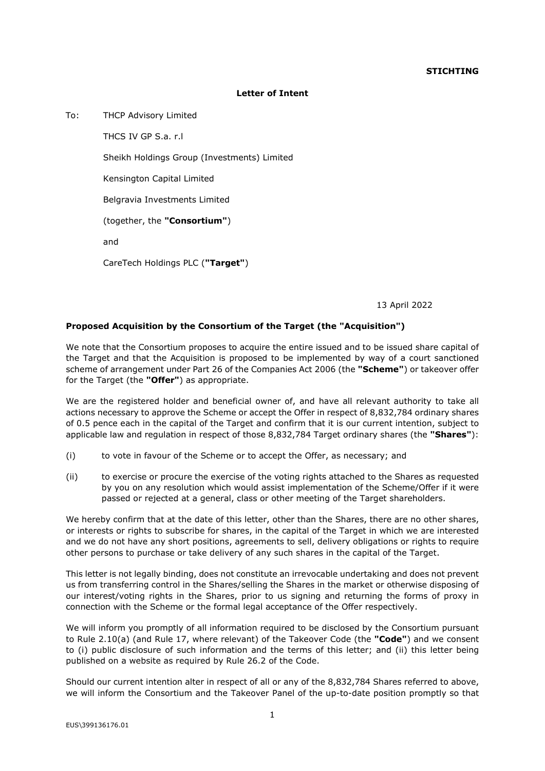## **STICHTING**

## **Letter of Intent**

To: THCP Advisory Limited

THCS IV GP S.a. r.l Sheikh Holdings Group (Investments) Limited Kensington Capital Limited Belgravia Investments Limited (together, the **"Consortium"**) and CareTech Holdings PLC (**"Target"**)

13 April 2022

## **Proposed Acquisition by the Consortium of the Target (the "Acquisition")**

We note that the Consortium proposes to acquire the entire issued and to be issued share capital of the Target and that the Acquisition is proposed to be implemented by way of a court sanctioned scheme of arrangement under Part 26 of the Companies Act 2006 (the **"Scheme"**) or takeover offer for the Target (the **"Offer"**) as appropriate.

We are the registered holder and beneficial owner of, and have all relevant authority to take all actions necessary to approve the Scheme or accept the Offer in respect of 8,832,784 ordinary shares of 0.5 pence each in the capital of the Target and confirm that it is our current intention, subject to applicable law and regulation in respect of those 8,832,784 Target ordinary shares (the **"Shares"**):

- (i) to vote in favour of the Scheme or to accept the Offer, as necessary; and
- (ii) to exercise or procure the exercise of the voting rights attached to the Shares as requested by you on any resolution which would assist implementation of the Scheme/Offer if it were passed or rejected at a general, class or other meeting of the Target shareholders.

We hereby confirm that at the date of this letter, other than the Shares, there are no other shares, or interests or rights to subscribe for shares, in the capital of the Target in which we are interested and we do not have any short positions, agreements to sell, delivery obligations or rights to require other persons to purchase or take delivery of any such shares in the capital of the Target.

This letter is not legally binding, does not constitute an irrevocable undertaking and does not prevent us from transferring control in the Shares/selling the Shares in the market or otherwise disposing of our interest/voting rights in the Shares, prior to us signing and returning the forms of proxy in connection with the Scheme or the formal legal acceptance of the Offer respectively.

We will inform you promptly of all information required to be disclosed by the Consortium pursuant to Rule 2.10(a) (and Rule 17, where relevant) of the Takeover Code (the **"Code"**) and we consent to (i) public disclosure of such information and the terms of this letter; and (ii) this letter being published on a website as required by Rule 26.2 of the Code.

Should our current intention alter in respect of all or any of the 8,832,784 Shares referred to above, we will inform the Consortium and the Takeover Panel of the up-to-date position promptly so that